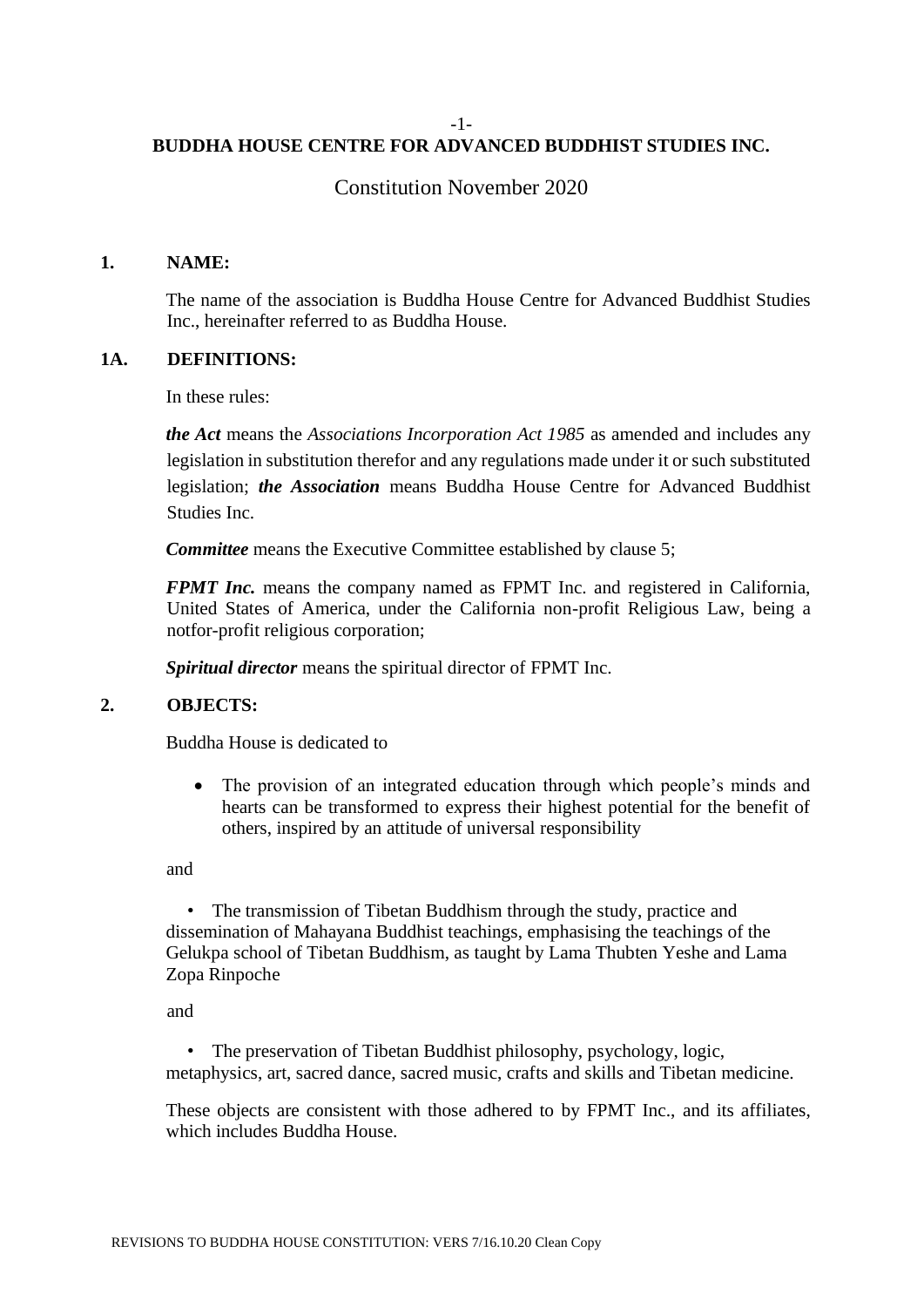#### -1-

# **BUDDHA HOUSE CENTRE FOR ADVANCED BUDDHIST STUDIES INC.**

# Constitution November 2020

## **1. NAME:**

The name of the association is Buddha House Centre for Advanced Buddhist Studies Inc., hereinafter referred to as Buddha House.

## **1A. DEFINITIONS:**

In these rules:

*the Act* means the *Associations Incorporation Act 1985* as amended and includes any legislation in substitution therefor and any regulations made under it or such substituted legislation; *the Association* means Buddha House Centre for Advanced Buddhist Studies Inc.

*Committee* means the Executive Committee established by clause 5;

*FPMT Inc.* means the company named as FPMT Inc. and registered in California, United States of America, under the California non-profit Religious Law, being a notfor-profit religious corporation;

*Spiritual director* means the spiritual director of FPMT Inc.

## **2. OBJECTS:**

Buddha House is dedicated to

• The provision of an integrated education through which people's minds and hearts can be transformed to express their highest potential for the benefit of others, inspired by an attitude of universal responsibility

and

• The transmission of Tibetan Buddhism through the study, practice and dissemination of Mahayana Buddhist teachings, emphasising the teachings of the Gelukpa school of Tibetan Buddhism, as taught by Lama Thubten Yeshe and Lama Zopa Rinpoche

and

• The preservation of Tibetan Buddhist philosophy, psychology, logic, metaphysics, art, sacred dance, sacred music, crafts and skills and Tibetan medicine.

These objects are consistent with those adhered to by FPMT Inc., and its affiliates, which includes Buddha House.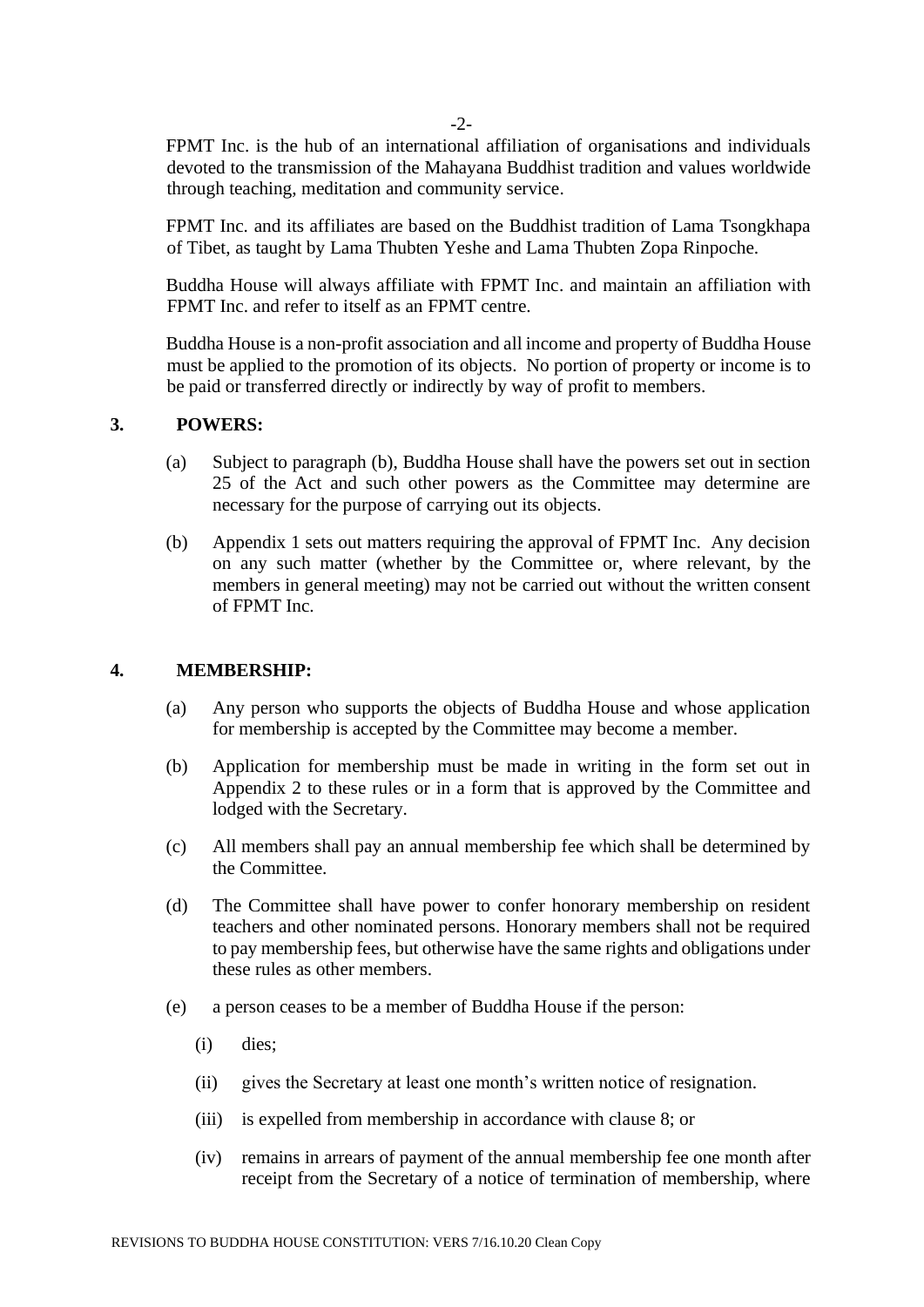-2-

FPMT Inc. is the hub of an international affiliation of organisations and individuals devoted to the transmission of the Mahayana Buddhist tradition and values worldwide through teaching, meditation and community service.

FPMT Inc. and its affiliates are based on the Buddhist tradition of Lama Tsongkhapa of Tibet, as taught by Lama Thubten Yeshe and Lama Thubten Zopa Rinpoche.

Buddha House will always affiliate with FPMT Inc. and maintain an affiliation with FPMT Inc. and refer to itself as an FPMT centre.

Buddha House is a non-profit association and all income and property of Buddha House must be applied to the promotion of its objects. No portion of property or income is to be paid or transferred directly or indirectly by way of profit to members.

## **3. POWERS:**

- (a) Subject to paragraph (b), Buddha House shall have the powers set out in section 25 of the Act and such other powers as the Committee may determine are necessary for the purpose of carrying out its objects.
- (b) Appendix 1 sets out matters requiring the approval of FPMT Inc. Any decision on any such matter (whether by the Committee or, where relevant, by the members in general meeting) may not be carried out without the written consent of FPMT Inc.

#### **4. MEMBERSHIP:**

- (a) Any person who supports the objects of Buddha House and whose application for membership is accepted by the Committee may become a member.
- (b) Application for membership must be made in writing in the form set out in Appendix 2 to these rules or in a form that is approved by the Committee and lodged with the Secretary.
- (c) All members shall pay an annual membership fee which shall be determined by the Committee.
- (d) The Committee shall have power to confer honorary membership on resident teachers and other nominated persons. Honorary members shall not be required to pay membership fees, but otherwise have the same rights and obligations under these rules as other members.
- (e) a person ceases to be a member of Buddha House if the person:
	- (i) dies;
	- (ii) gives the Secretary at least one month's written notice of resignation.
	- (iii) is expelled from membership in accordance with clause 8; or
	- (iv) remains in arrears of payment of the annual membership fee one month after receipt from the Secretary of a notice of termination of membership, where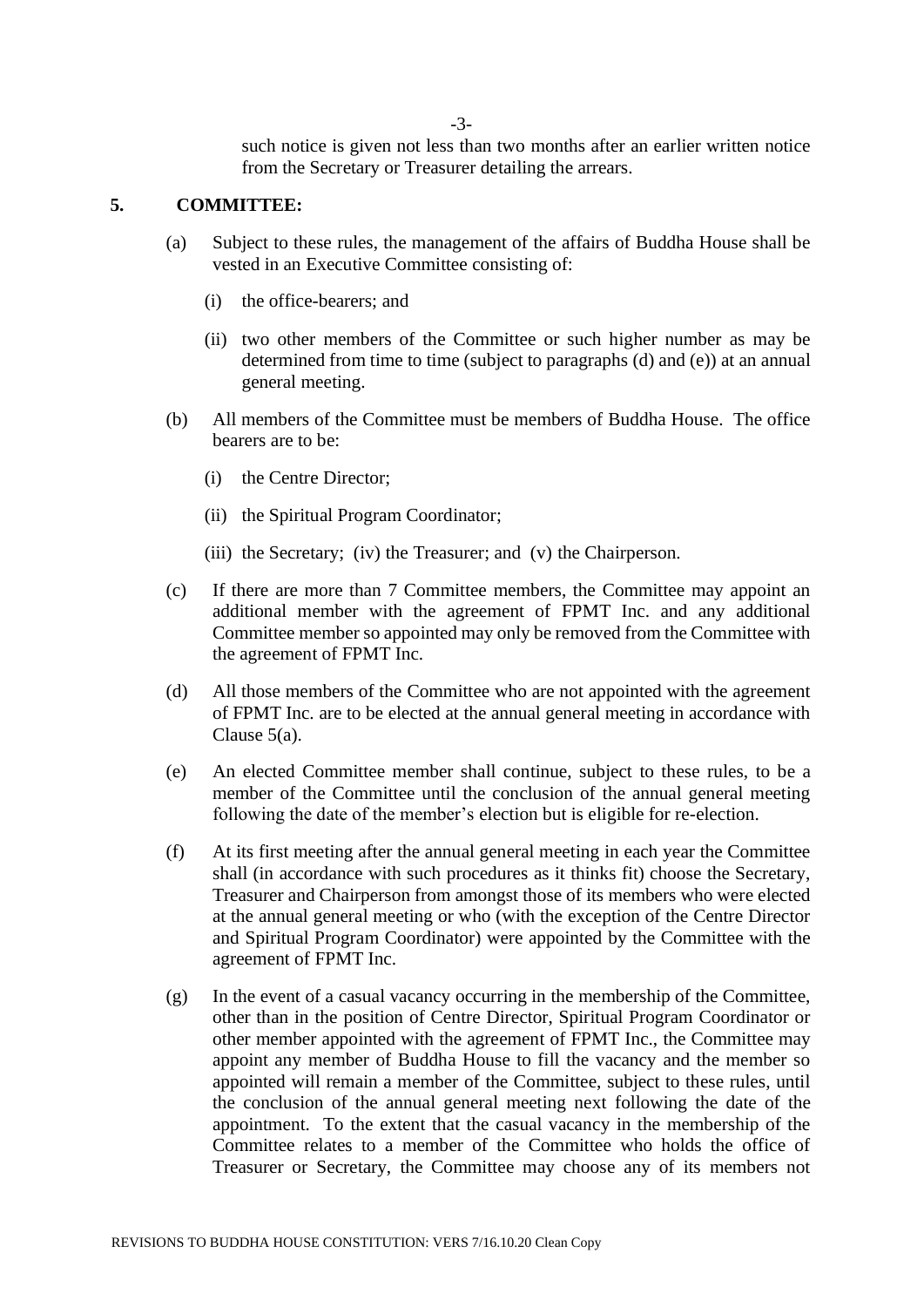-3-

such notice is given not less than two months after an earlier written notice from the Secretary or Treasurer detailing the arrears.

# **5. COMMITTEE:**

- (a) Subject to these rules, the management of the affairs of Buddha House shall be vested in an Executive Committee consisting of:
	- (i) the office-bearers; and
	- (ii) two other members of the Committee or such higher number as may be determined from time to time (subject to paragraphs (d) and (e)) at an annual general meeting.
- (b) All members of the Committee must be members of Buddha House. The office bearers are to be:
	- (i) the Centre Director;
	- (ii) the Spiritual Program Coordinator;
	- (iii) the Secretary; (iv) the Treasurer; and (v) the Chairperson.
- (c) If there are more than 7 Committee members, the Committee may appoint an additional member with the agreement of FPMT Inc. and any additional Committee member so appointed may only be removed from the Committee with the agreement of FPMT Inc.
- (d) All those members of the Committee who are not appointed with the agreement of FPMT Inc. are to be elected at the annual general meeting in accordance with Clause 5(a).
- (e) An elected Committee member shall continue, subject to these rules, to be a member of the Committee until the conclusion of the annual general meeting following the date of the member's election but is eligible for re-election.
- (f) At its first meeting after the annual general meeting in each year the Committee shall (in accordance with such procedures as it thinks fit) choose the Secretary, Treasurer and Chairperson from amongst those of its members who were elected at the annual general meeting or who (with the exception of the Centre Director and Spiritual Program Coordinator) were appointed by the Committee with the agreement of FPMT Inc.
- (g) In the event of a casual vacancy occurring in the membership of the Committee, other than in the position of Centre Director, Spiritual Program Coordinator or other member appointed with the agreement of FPMT Inc., the Committee may appoint any member of Buddha House to fill the vacancy and the member so appointed will remain a member of the Committee, subject to these rules, until the conclusion of the annual general meeting next following the date of the appointment. To the extent that the casual vacancy in the membership of the Committee relates to a member of the Committee who holds the office of Treasurer or Secretary, the Committee may choose any of its members not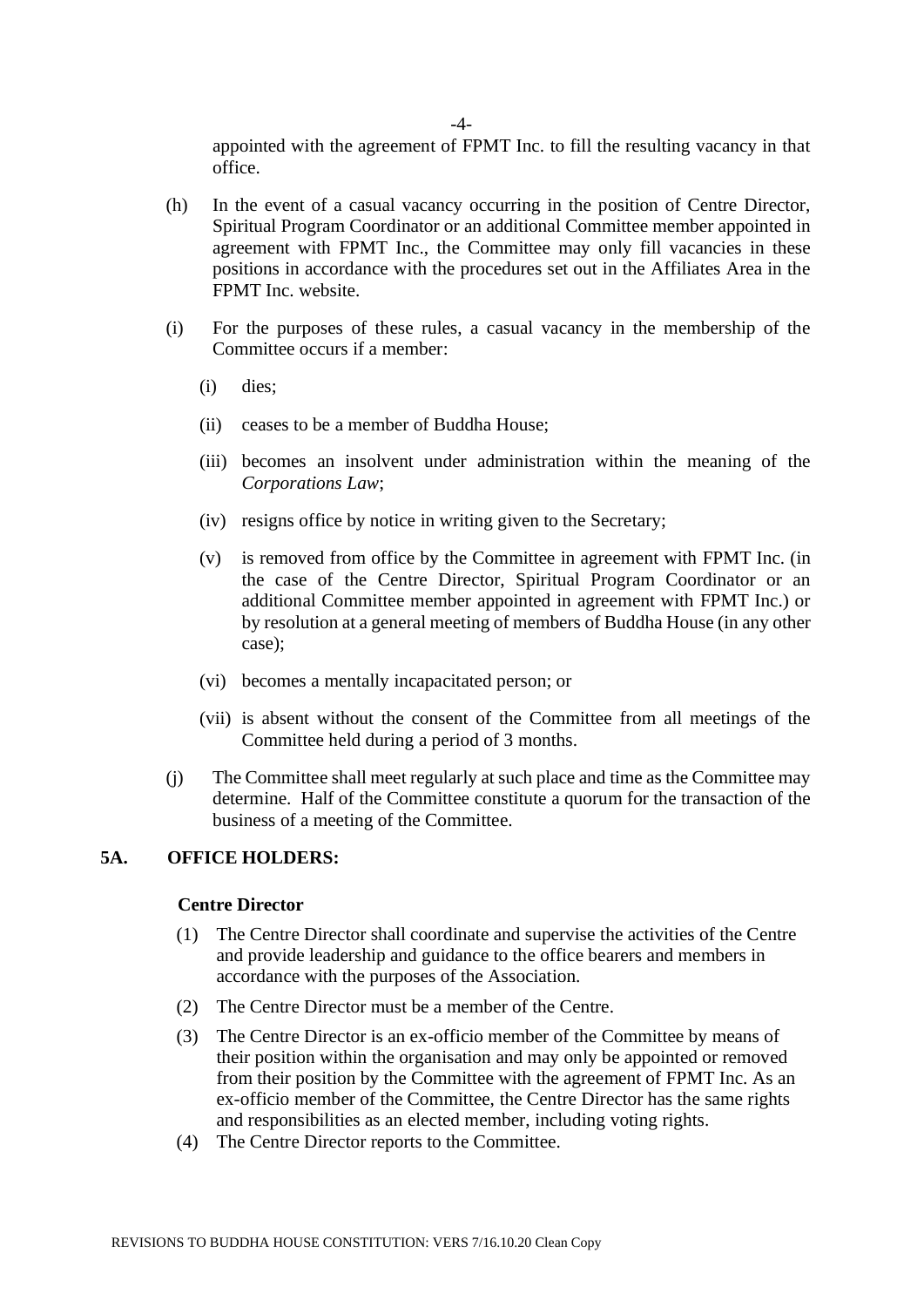appointed with the agreement of FPMT Inc. to fill the resulting vacancy in that office.

- (h) In the event of a casual vacancy occurring in the position of Centre Director, Spiritual Program Coordinator or an additional Committee member appointed in agreement with FPMT Inc., the Committee may only fill vacancies in these positions in accordance with the procedures set out in the Affiliates Area in the FPMT Inc. website.
- (i) For the purposes of these rules, a casual vacancy in the membership of the Committee occurs if a member:
	- (i) dies;
	- (ii) ceases to be a member of Buddha House;
	- (iii) becomes an insolvent under administration within the meaning of the *Corporations Law*;
	- (iv) resigns office by notice in writing given to the Secretary;
	- (v) is removed from office by the Committee in agreement with FPMT Inc. (in the case of the Centre Director, Spiritual Program Coordinator or an additional Committee member appointed in agreement with FPMT Inc.) or by resolution at a general meeting of members of Buddha House (in any other case);
	- (vi) becomes a mentally incapacitated person; or
	- (vii) is absent without the consent of the Committee from all meetings of the Committee held during a period of 3 months.
- (j) The Committee shall meet regularly at such place and time as the Committee may determine. Half of the Committee constitute a quorum for the transaction of the business of a meeting of the Committee.

## **5A. OFFICE HOLDERS:**

#### **Centre Director**

- (1) The Centre Director shall coordinate and supervise the activities of the Centre and provide leadership and guidance to the office bearers and members in accordance with the purposes of the Association.
- (2) The Centre Director must be a member of the Centre.
- (3) The Centre Director is an ex-officio member of the Committee by means of their position within the organisation and may only be appointed or removed from their position by the Committee with the agreement of FPMT Inc. As an ex-officio member of the Committee, the Centre Director has the same rights and responsibilities as an elected member, including voting rights.
- (4) The Centre Director reports to the Committee.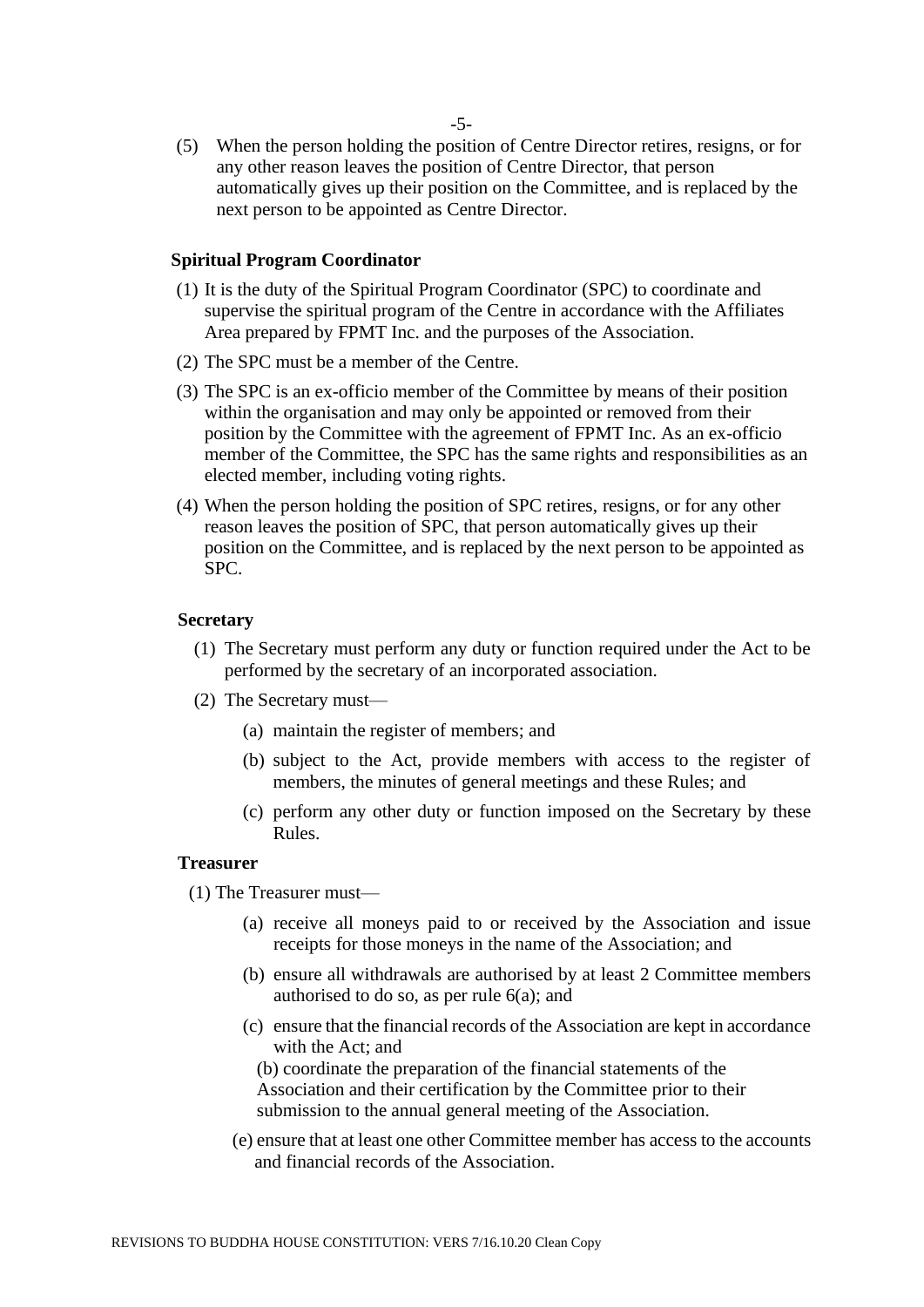(5) When the person holding the position of Centre Director retires, resigns, or for any other reason leaves the position of Centre Director, that person automatically gives up their position on the Committee, and is replaced by the next person to be appointed as Centre Director.

#### **Spiritual Program Coordinator**

- (1) It is the duty of the Spiritual Program Coordinator (SPC) to coordinate and supervise the spiritual program of the Centre in accordance with the Affiliates Area prepared by FPMT Inc. and the purposes of the Association.
- (2) The SPC must be a member of the Centre.
- (3) The SPC is an ex-officio member of the Committee by means of their position within the organisation and may only be appointed or removed from their position by the Committee with the agreement of FPMT Inc. As an ex-officio member of the Committee, the SPC has the same rights and responsibilities as an elected member, including voting rights.
- (4) When the person holding the position of SPC retires, resigns, or for any other reason leaves the position of SPC, that person automatically gives up their position on the Committee, and is replaced by the next person to be appointed as SPC.

#### **Secretary**

- (1) The Secretary must perform any duty or function required under the Act to be performed by the secretary of an incorporated association.
- (2) The Secretary must—
	- (a) maintain the register of members; and
	- (b) subject to the Act, provide members with access to the register of members, the minutes of general meetings and these Rules; and
	- (c) perform any other duty or function imposed on the Secretary by these Rules.

#### **Treasurer**

(1) The Treasurer must—

- (a) receive all moneys paid to or received by the Association and issue receipts for those moneys in the name of the Association; and
- (b) ensure all withdrawals are authorised by at least 2 Committee members authorised to do so, as per rule 6(a); and
- (c) ensure that the financial records of the Association are kept in accordance with the Act; and

(b) coordinate the preparation of the financial statements of the Association and their certification by the Committee prior to their submission to the annual general meeting of the Association.

(e) ensure that at least one other Committee member has access to the accounts and financial records of the Association.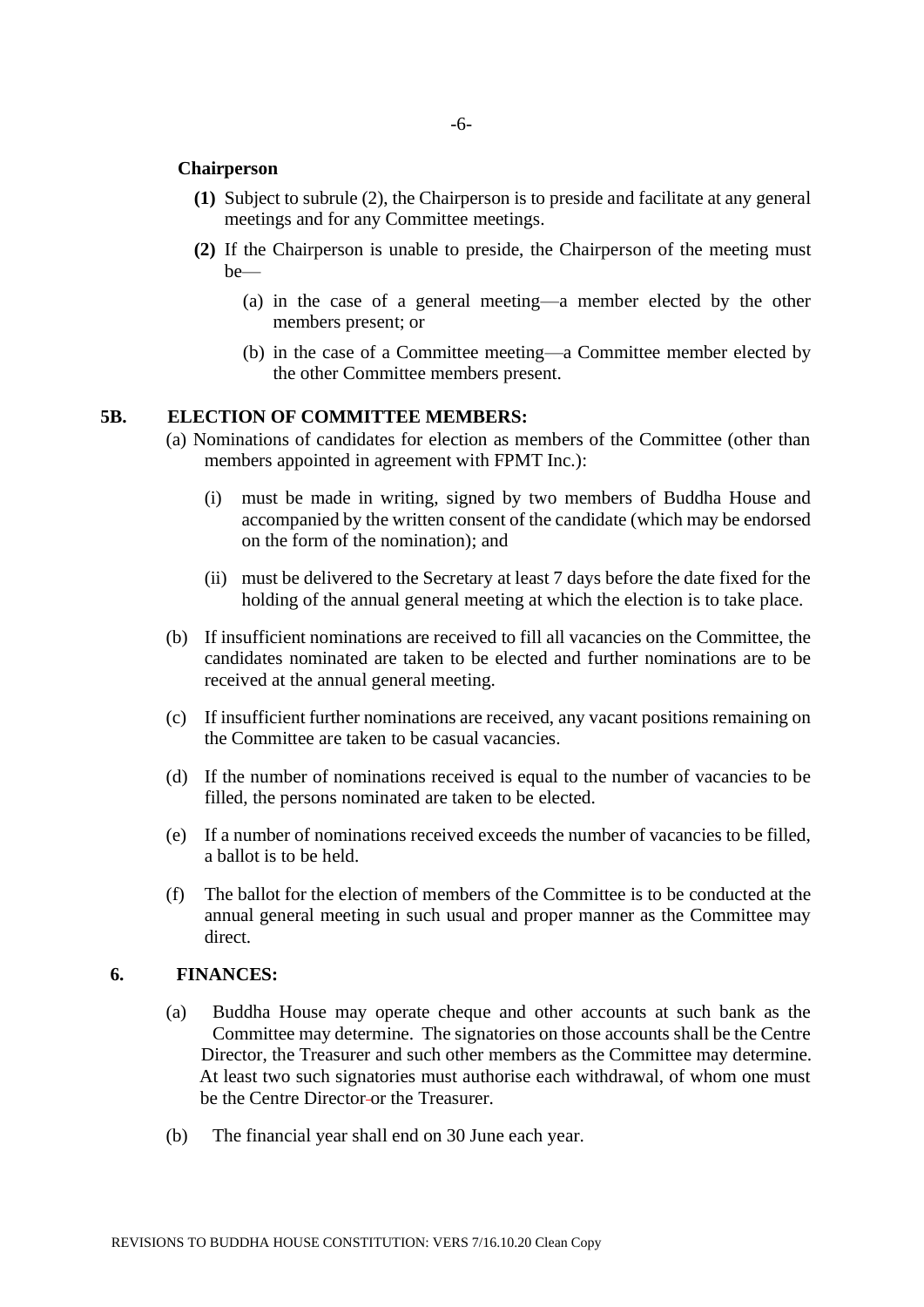## **Chairperson**

- **(1)** Subject to subrule (2), the Chairperson is to preside and facilitate at any general meetings and for any Committee meetings.
- **(2)** If the Chairperson is unable to preside, the Chairperson of the meeting must be—
	- (a) in the case of a general meeting—a member elected by the other members present; or
	- (b) in the case of a Committee meeting—a Committee member elected by the other Committee members present.

## **5B. ELECTION OF COMMITTEE MEMBERS:**

- (a) Nominations of candidates for election as members of the Committee (other than members appointed in agreement with FPMT Inc.):
	- (i) must be made in writing, signed by two members of Buddha House and accompanied by the written consent of the candidate (which may be endorsed on the form of the nomination); and
	- (ii) must be delivered to the Secretary at least 7 days before the date fixed for the holding of the annual general meeting at which the election is to take place.
- (b) If insufficient nominations are received to fill all vacancies on the Committee, the candidates nominated are taken to be elected and further nominations are to be received at the annual general meeting.
- (c) If insufficient further nominations are received, any vacant positions remaining on the Committee are taken to be casual vacancies.
- (d) If the number of nominations received is equal to the number of vacancies to be filled, the persons nominated are taken to be elected.
- (e) If a number of nominations received exceeds the number of vacancies to be filled, a ballot is to be held.
- (f) The ballot for the election of members of the Committee is to be conducted at the annual general meeting in such usual and proper manner as the Committee may direct.

#### **6. FINANCES:**

- (a) Buddha House may operate cheque and other accounts at such bank as the Committee may determine. The signatories on those accounts shall be the Centre Director, the Treasurer and such other members as the Committee may determine. At least two such signatories must authorise each withdrawal, of whom one must be the Centre Director or the Treasurer.
- (b) The financial year shall end on 30 June each year.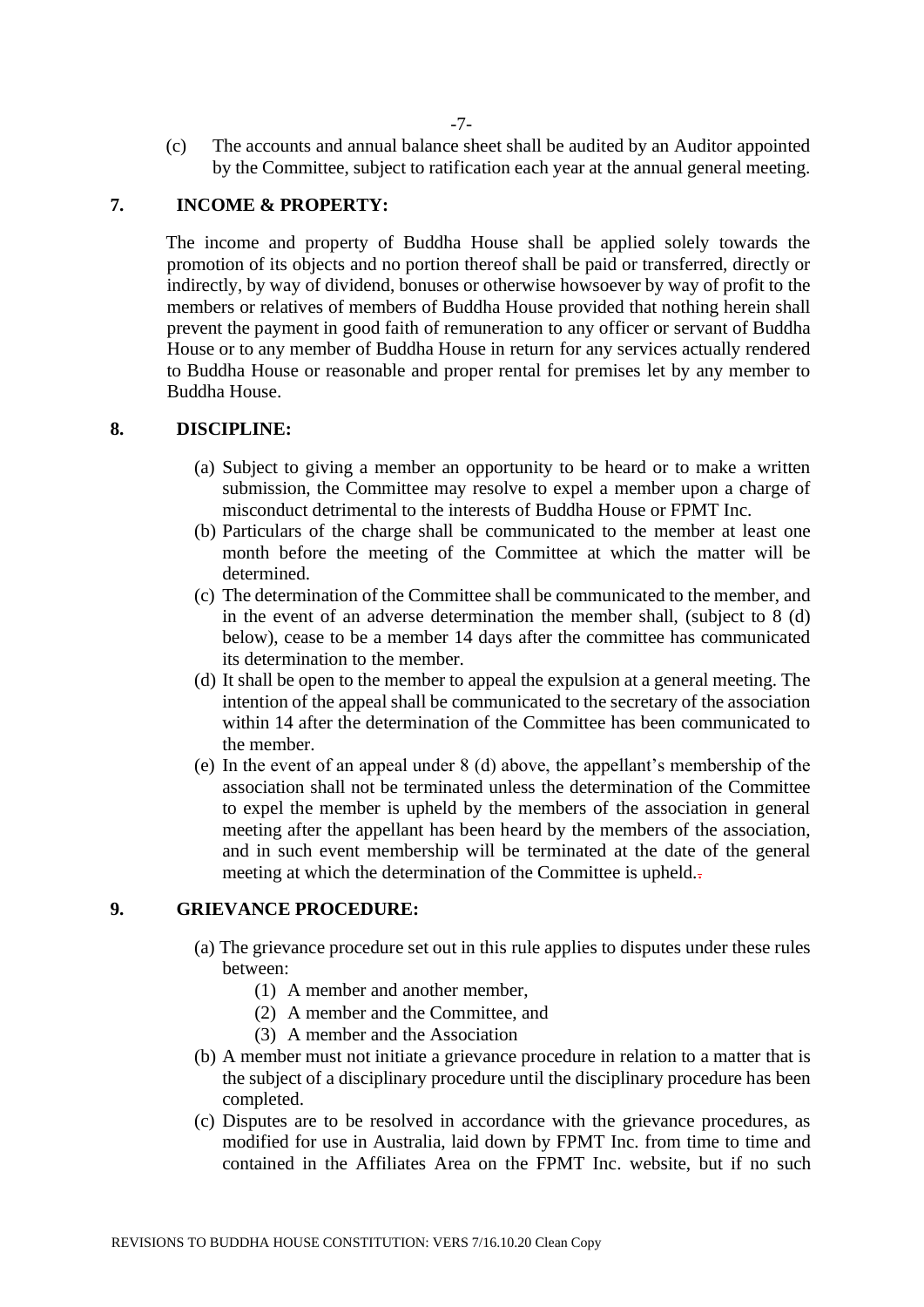(c) The accounts and annual balance sheet shall be audited by an Auditor appointed by the Committee, subject to ratification each year at the annual general meeting.

# **7. INCOME & PROPERTY:**

The income and property of Buddha House shall be applied solely towards the promotion of its objects and no portion thereof shall be paid or transferred, directly or indirectly, by way of dividend, bonuses or otherwise howsoever by way of profit to the members or relatives of members of Buddha House provided that nothing herein shall prevent the payment in good faith of remuneration to any officer or servant of Buddha House or to any member of Buddha House in return for any services actually rendered to Buddha House or reasonable and proper rental for premises let by any member to Buddha House.

#### **8. DISCIPLINE:**

- (a) Subject to giving a member an opportunity to be heard or to make a written submission, the Committee may resolve to expel a member upon a charge of misconduct detrimental to the interests of Buddha House or FPMT Inc.
- (b) Particulars of the charge shall be communicated to the member at least one month before the meeting of the Committee at which the matter will be determined.
- (c) The determination of the Committee shall be communicated to the member, and in the event of an adverse determination the member shall, (subject to 8 (d) below), cease to be a member 14 days after the committee has communicated its determination to the member.
- (d) It shall be open to the member to appeal the expulsion at a general meeting. The intention of the appeal shall be communicated to the secretary of the association within 14 after the determination of the Committee has been communicated to the member.
- (e) In the event of an appeal under 8 (d) above, the appellant's membership of the association shall not be terminated unless the determination of the Committee to expel the member is upheld by the members of the association in general meeting after the appellant has been heard by the members of the association, and in such event membership will be terminated at the date of the general meeting at which the determination of the Committee is upheld...

## **9. GRIEVANCE PROCEDURE:**

- (a) The grievance procedure set out in this rule applies to disputes under these rules between:
	- (1) A member and another member,
	- (2) A member and the Committee, and
	- (3) A member and the Association
- (b) A member must not initiate a grievance procedure in relation to a matter that is the subject of a disciplinary procedure until the disciplinary procedure has been completed.
- (c) Disputes are to be resolved in accordance with the grievance procedures, as modified for use in Australia, laid down by FPMT Inc. from time to time and contained in the Affiliates Area on the FPMT Inc. website, but if no such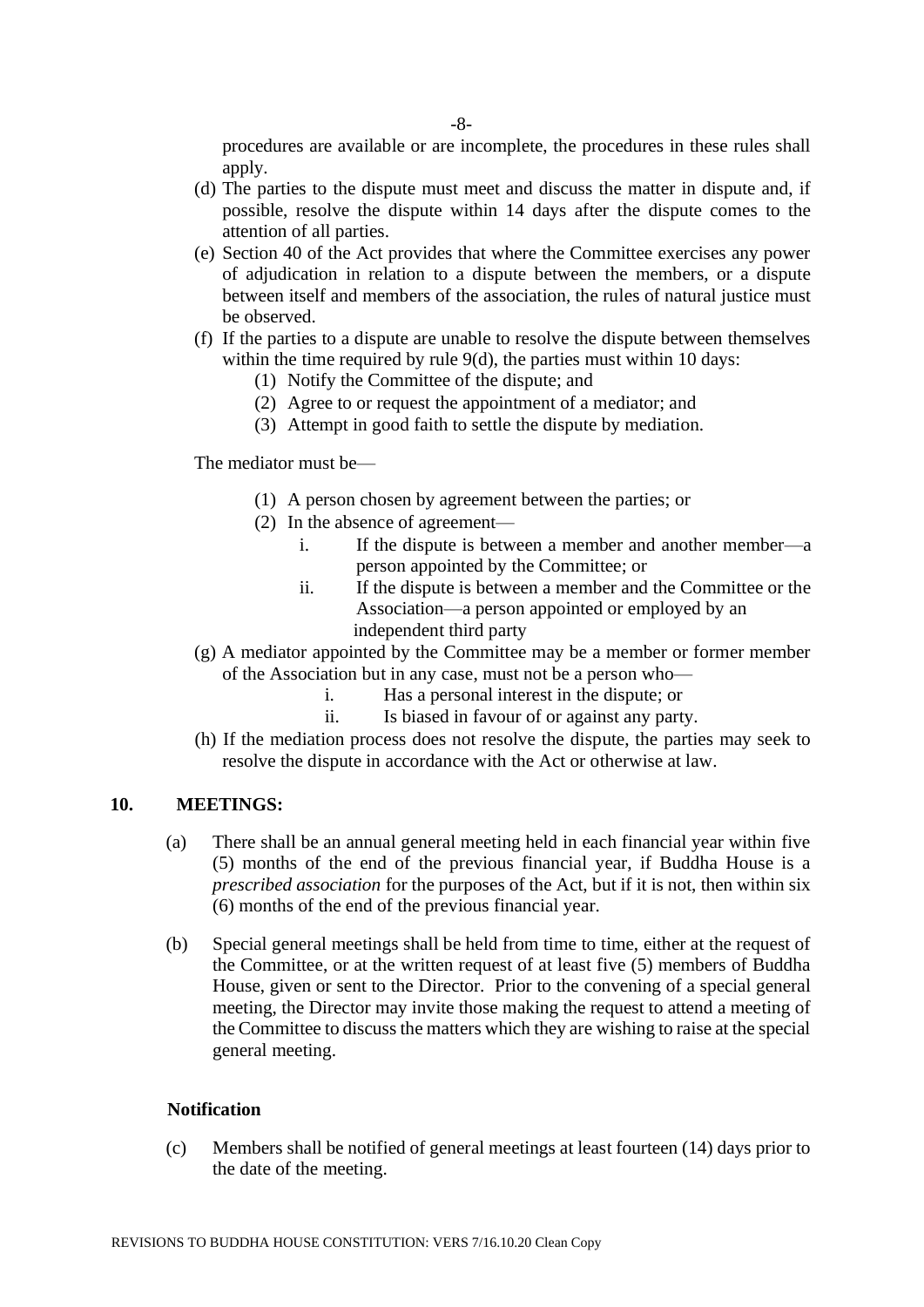-8-

procedures are available or are incomplete, the procedures in these rules shall apply.

- (d) The parties to the dispute must meet and discuss the matter in dispute and, if possible, resolve the dispute within 14 days after the dispute comes to the attention of all parties.
- (e) Section 40 of the Act provides that where the Committee exercises any power of adjudication in relation to a dispute between the members, or a dispute between itself and members of the association, the rules of natural justice must be observed.
- (f) If the parties to a dispute are unable to resolve the dispute between themselves within the time required by rule 9(d), the parties must within 10 days:
	- (1) Notify the Committee of the dispute; and
	- (2) Agree to or request the appointment of a mediator; and
	- (3) Attempt in good faith to settle the dispute by mediation.

The mediator must be—

- (1) A person chosen by agreement between the parties; or
- (2) In the absence of agreement
	- i. If the dispute is between a member and another member—a person appointed by the Committee; or
	- ii. If the dispute is between a member and the Committee or the Association—a person appointed or employed by an independent third party
- (g) A mediator appointed by the Committee may be a member or former member of the Association but in any case, must not be a person who
	- i. Has a personal interest in the dispute; or
	- ii. Is biased in favour of or against any party.
- (h) If the mediation process does not resolve the dispute, the parties may seek to resolve the dispute in accordance with the Act or otherwise at law.

#### **10. MEETINGS:**

- (a) There shall be an annual general meeting held in each financial year within five (5) months of the end of the previous financial year, if Buddha House is a *prescribed association* for the purposes of the Act, but if it is not, then within six (6) months of the end of the previous financial year.
- (b) Special general meetings shall be held from time to time, either at the request of the Committee, or at the written request of at least five (5) members of Buddha House, given or sent to the Director. Prior to the convening of a special general meeting, the Director may invite those making the request to attend a meeting of the Committee to discuss the matters which they are wishing to raise at the special general meeting.

#### **Notification**

(c) Members shall be notified of general meetings at least fourteen (14) days prior to the date of the meeting.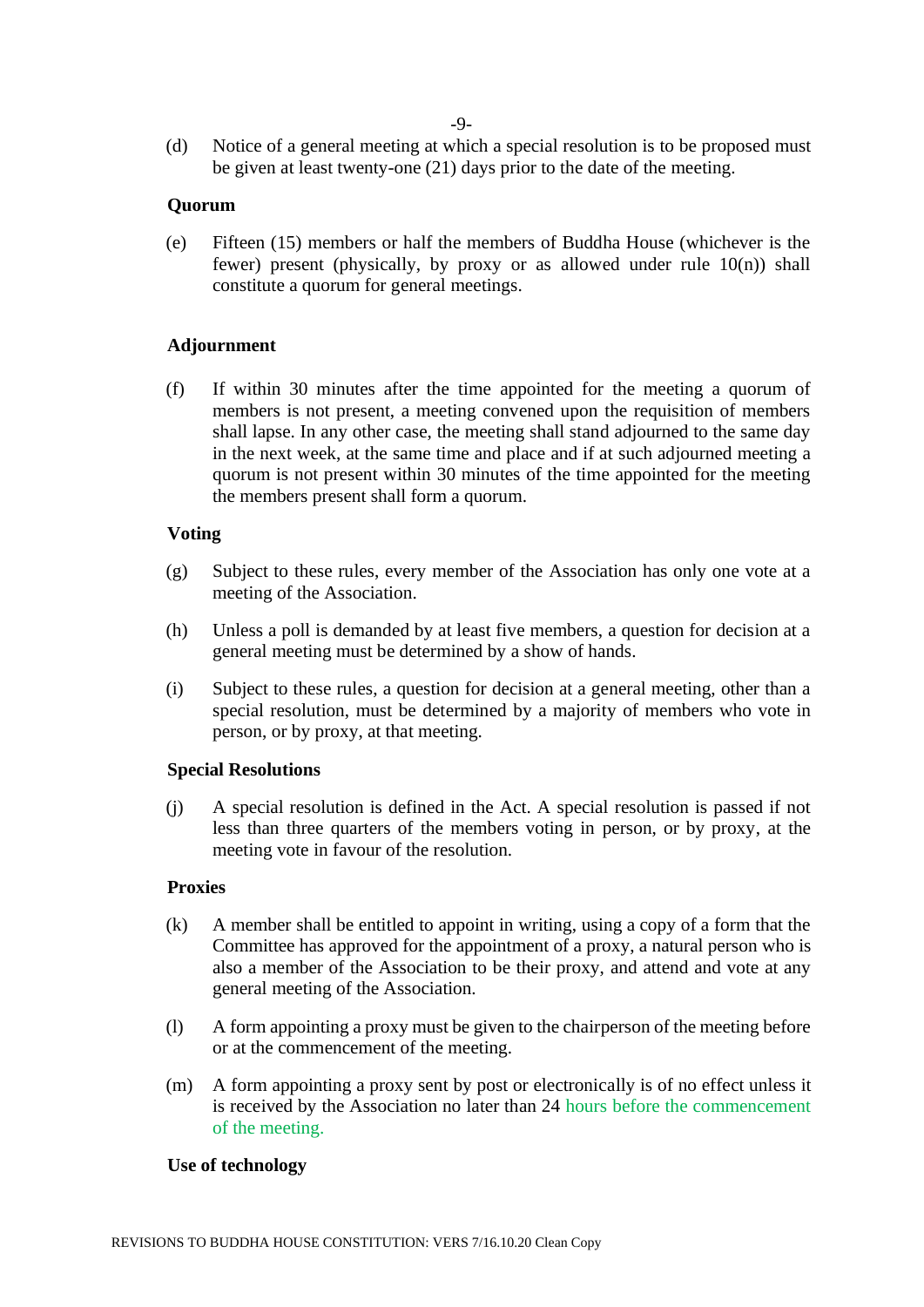(d) Notice of a general meeting at which a special resolution is to be proposed must be given at least twenty-one (21) days prior to the date of the meeting.

## **Quorum**

(e) Fifteen (15) members or half the members of Buddha House (whichever is the fewer) present (physically, by proxy or as allowed under rule 10(n)) shall constitute a quorum for general meetings.

## **Adjournment**

(f) If within 30 minutes after the time appointed for the meeting a quorum of members is not present, a meeting convened upon the requisition of members shall lapse. In any other case, the meeting shall stand adjourned to the same day in the next week, at the same time and place and if at such adjourned meeting a quorum is not present within 30 minutes of the time appointed for the meeting the members present shall form a quorum.

## **Voting**

- (g) Subject to these rules, every member of the Association has only one vote at a meeting of the Association.
- (h) Unless a poll is demanded by at least five members, a question for decision at a general meeting must be determined by a show of hands.
- (i) Subject to these rules, a question for decision at a general meeting, other than a special resolution, must be determined by a majority of members who vote in person, or by proxy, at that meeting.

#### **Special Resolutions**

(j) A special resolution is defined in the Act. A special resolution is passed if not less than three quarters of the members voting in person, or by proxy, at the meeting vote in favour of the resolution.

#### **Proxies**

- (k) A member shall be entitled to appoint in writing, using a copy of a form that the Committee has approved for the appointment of a proxy, a natural person who is also a member of the Association to be their proxy, and attend and vote at any general meeting of the Association.
- (l) A form appointing a proxy must be given to the chairperson of the meeting before or at the commencement of the meeting.
- (m) A form appointing a proxy sent by post or electronically is of no effect unless it is received by the Association no later than 24 hours before the commencement of the meeting.

## **Use of technology**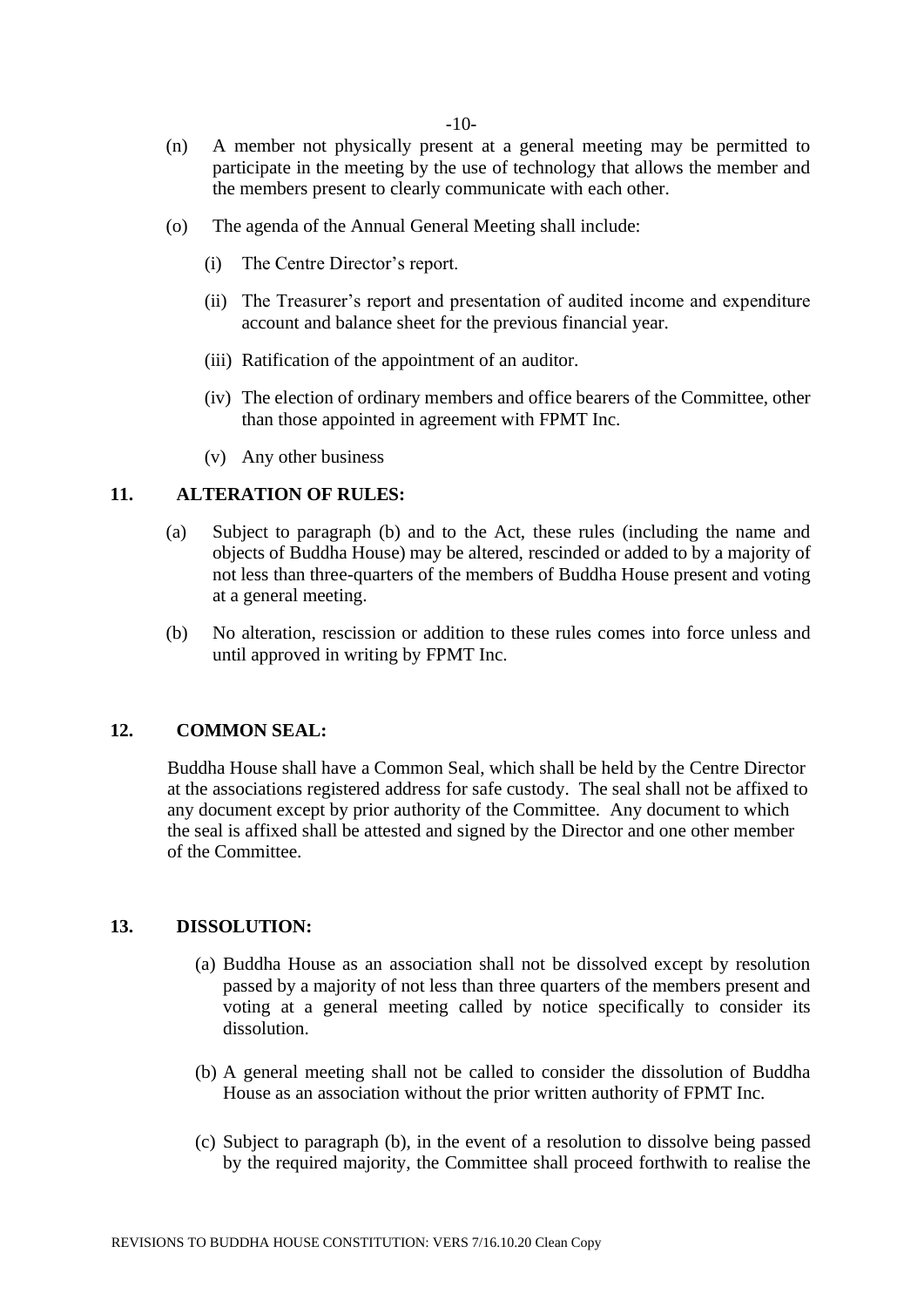- (n) A member not physically present at a general meeting may be permitted to participate in the meeting by the use of technology that allows the member and the members present to clearly communicate with each other.
- (o) The agenda of the Annual General Meeting shall include:
	- (i) The Centre Director's report.
	- (ii) The Treasurer's report and presentation of audited income and expenditure account and balance sheet for the previous financial year.
	- (iii) Ratification of the appointment of an auditor.
	- (iv) The election of ordinary members and office bearers of the Committee, other than those appointed in agreement with FPMT Inc.
	- (v) Any other business

## **11. ALTERATION OF RULES:**

- (a) Subject to paragraph (b) and to the Act, these rules (including the name and objects of Buddha House) may be altered, rescinded or added to by a majority of not less than three-quarters of the members of Buddha House present and voting at a general meeting.
- (b) No alteration, rescission or addition to these rules comes into force unless and until approved in writing by FPMT Inc.

# **12. COMMON SEAL:**

Buddha House shall have a Common Seal, which shall be held by the Centre Director at the associations registered address for safe custody. The seal shall not be affixed to any document except by prior authority of the Committee. Any document to which the seal is affixed shall be attested and signed by the Director and one other member of the Committee.

## **13. DISSOLUTION:**

- (a) Buddha House as an association shall not be dissolved except by resolution passed by a majority of not less than three quarters of the members present and voting at a general meeting called by notice specifically to consider its dissolution.
- (b) A general meeting shall not be called to consider the dissolution of Buddha House as an association without the prior written authority of FPMT Inc.
- (c) Subject to paragraph (b), in the event of a resolution to dissolve being passed by the required majority, the Committee shall proceed forthwith to realise the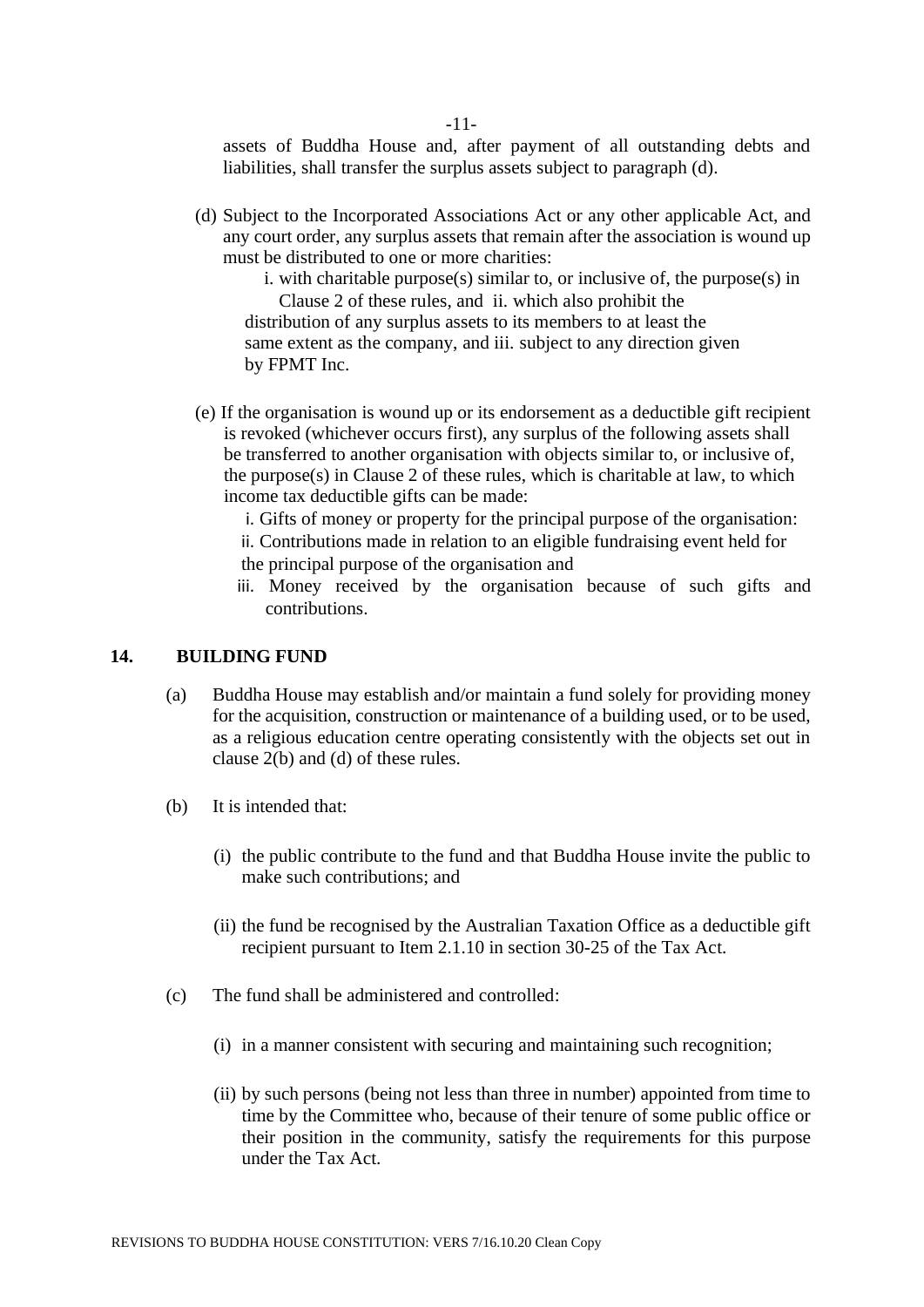assets of Buddha House and, after payment of all outstanding debts and liabilities, shall transfer the surplus assets subject to paragraph (d).

(d) Subject to the Incorporated Associations Act or any other applicable Act, and any court order, any surplus assets that remain after the association is wound up must be distributed to one or more charities:

i. with charitable purpose(s) similar to, or inclusive of, the purpose(s) in Clause 2 of these rules, and ii. which also prohibit the distribution of any surplus assets to its members to at least the same extent as the company, and iii. subject to any direction given by FPMT Inc.

(e) If the organisation is wound up or its endorsement as a deductible gift recipient is revoked (whichever occurs first), any surplus of the following assets shall be transferred to another organisation with objects similar to, or inclusive of, the purpose(s) in Clause 2 of these rules, which is charitable at law, to which income tax deductible gifts can be made:

i. Gifts of money or property for the principal purpose of the organisation: ii. Contributions made in relation to an eligible fundraising event held for the principal purpose of the organisation and

iii. Money received by the organisation because of such gifts and contributions.

# **14. BUILDING FUND**

- (a) Buddha House may establish and/or maintain a fund solely for providing money for the acquisition, construction or maintenance of a building used, or to be used, as a religious education centre operating consistently with the objects set out in clause 2(b) and (d) of these rules.
- (b) It is intended that:
	- (i) the public contribute to the fund and that Buddha House invite the public to make such contributions; and
	- (ii) the fund be recognised by the Australian Taxation Office as a deductible gift recipient pursuant to Item 2.1.10 in section 30-25 of the Tax Act.
- (c) The fund shall be administered and controlled:
	- (i) in a manner consistent with securing and maintaining such recognition;
	- (ii) by such persons (being not less than three in number) appointed from time to time by the Committee who, because of their tenure of some public office or their position in the community, satisfy the requirements for this purpose under the Tax Act.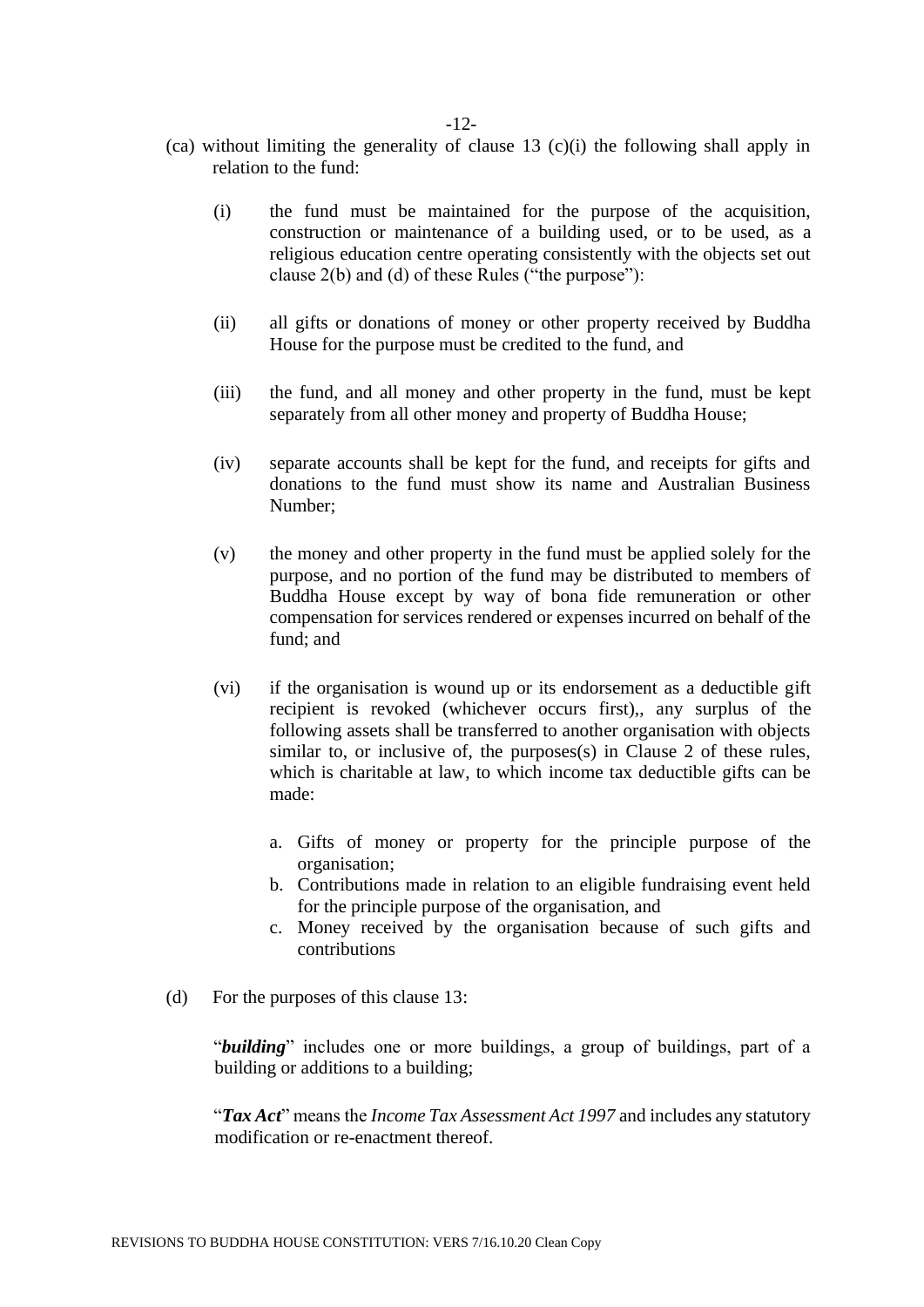- (ca) without limiting the generality of clause 13 (c)(i) the following shall apply in relation to the fund:
	- (i) the fund must be maintained for the purpose of the acquisition, construction or maintenance of a building used, or to be used, as a religious education centre operating consistently with the objects set out clause 2(b) and (d) of these Rules ("the purpose"):
	- (ii) all gifts or donations of money or other property received by Buddha House for the purpose must be credited to the fund, and
	- (iii) the fund, and all money and other property in the fund, must be kept separately from all other money and property of Buddha House;
	- (iv) separate accounts shall be kept for the fund, and receipts for gifts and donations to the fund must show its name and Australian Business Number;
	- (v) the money and other property in the fund must be applied solely for the purpose, and no portion of the fund may be distributed to members of Buddha House except by way of bona fide remuneration or other compensation for services rendered or expenses incurred on behalf of the fund; and
	- (vi) if the organisation is wound up or its endorsement as a deductible gift recipient is revoked (whichever occurs first), any surplus of the following assets shall be transferred to another organisation with objects similar to, or inclusive of, the purposes(s) in Clause 2 of these rules, which is charitable at law, to which income tax deductible gifts can be made:
		- a. Gifts of money or property for the principle purpose of the organisation;
		- b. Contributions made in relation to an eligible fundraising event held for the principle purpose of the organisation, and
		- c. Money received by the organisation because of such gifts and contributions
- (d) For the purposes of this clause 13:

"*building*" includes one or more buildings, a group of buildings, part of a building or additions to a building;

"*Tax Act*" means the *Income Tax Assessment Act 1997* and includes any statutory modification or re-enactment thereof.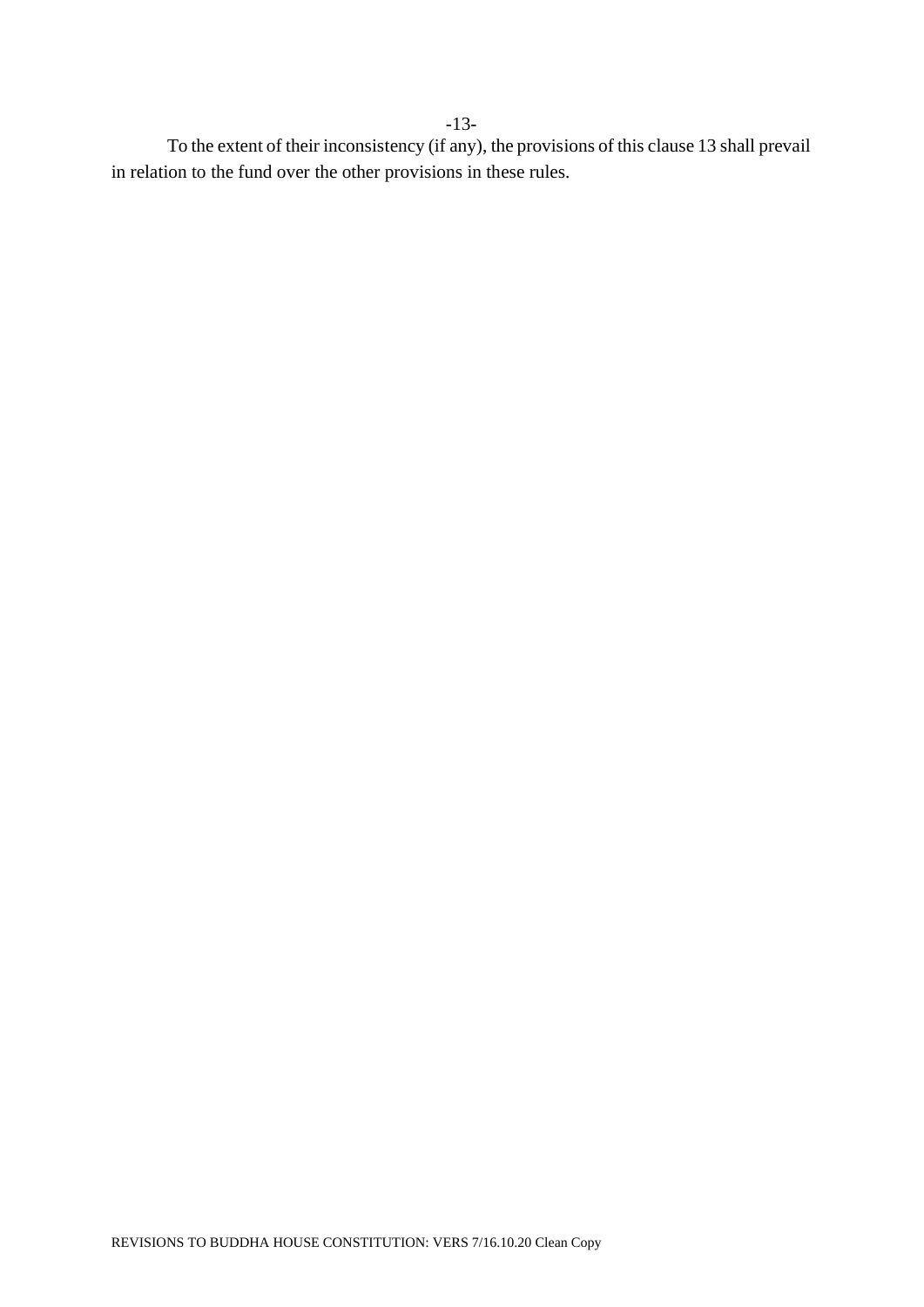To the extent of their inconsistency (if any), the provisions of this clause 13 shall prevail in relation to the fund over the other provisions in these rules.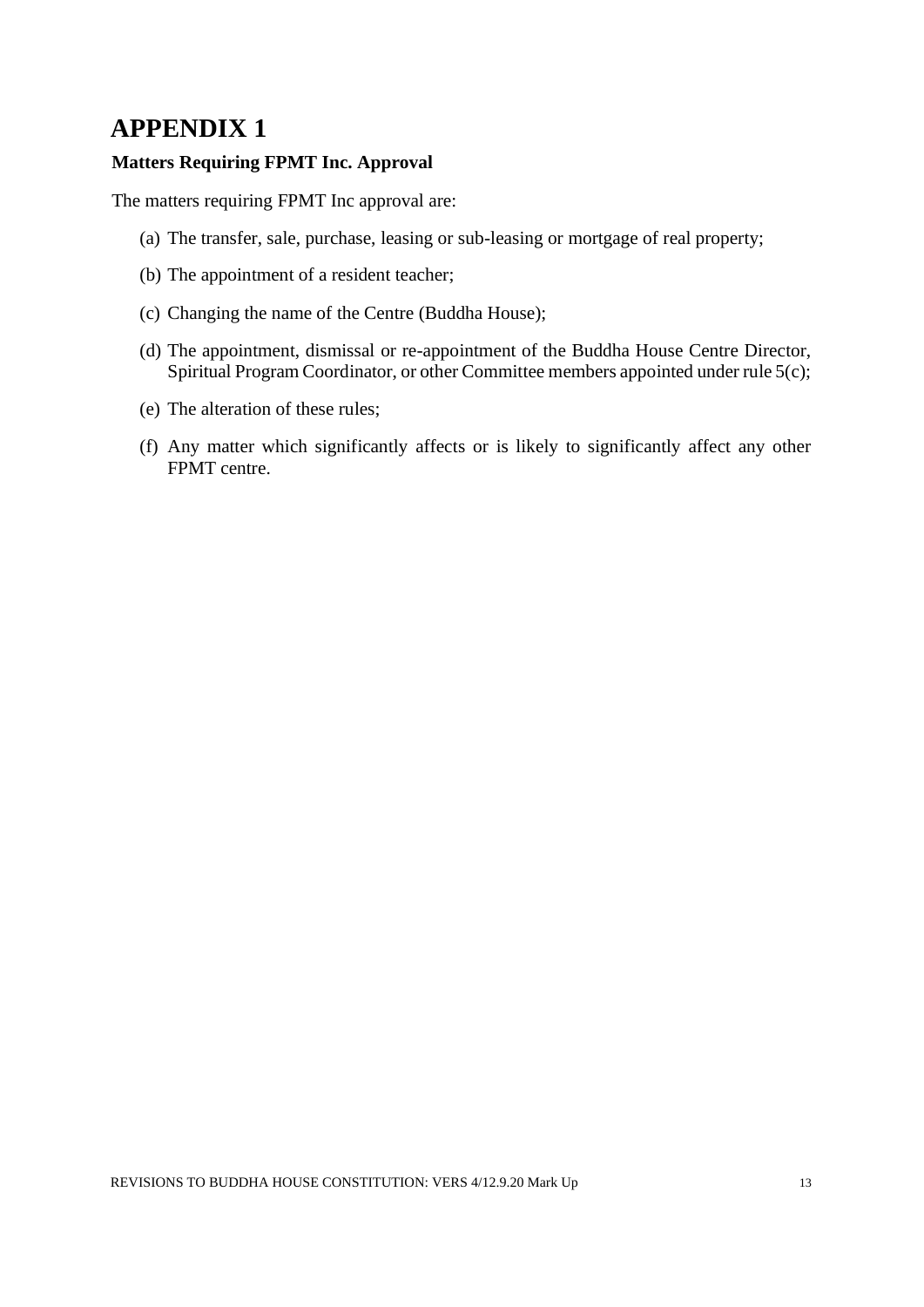# **APPENDIX 1**

# **Matters Requiring FPMT Inc. Approval**

The matters requiring FPMT Inc approval are:

- (a) The transfer, sale, purchase, leasing or sub-leasing or mortgage of real property;
- (b) The appointment of a resident teacher;
- (c) Changing the name of the Centre (Buddha House);
- (d) The appointment, dismissal or re-appointment of the Buddha House Centre Director, Spiritual Program Coordinator, or other Committee members appointed under rule 5(c);
- (e) The alteration of these rules;
- (f) Any matter which significantly affects or is likely to significantly affect any other FPMT centre.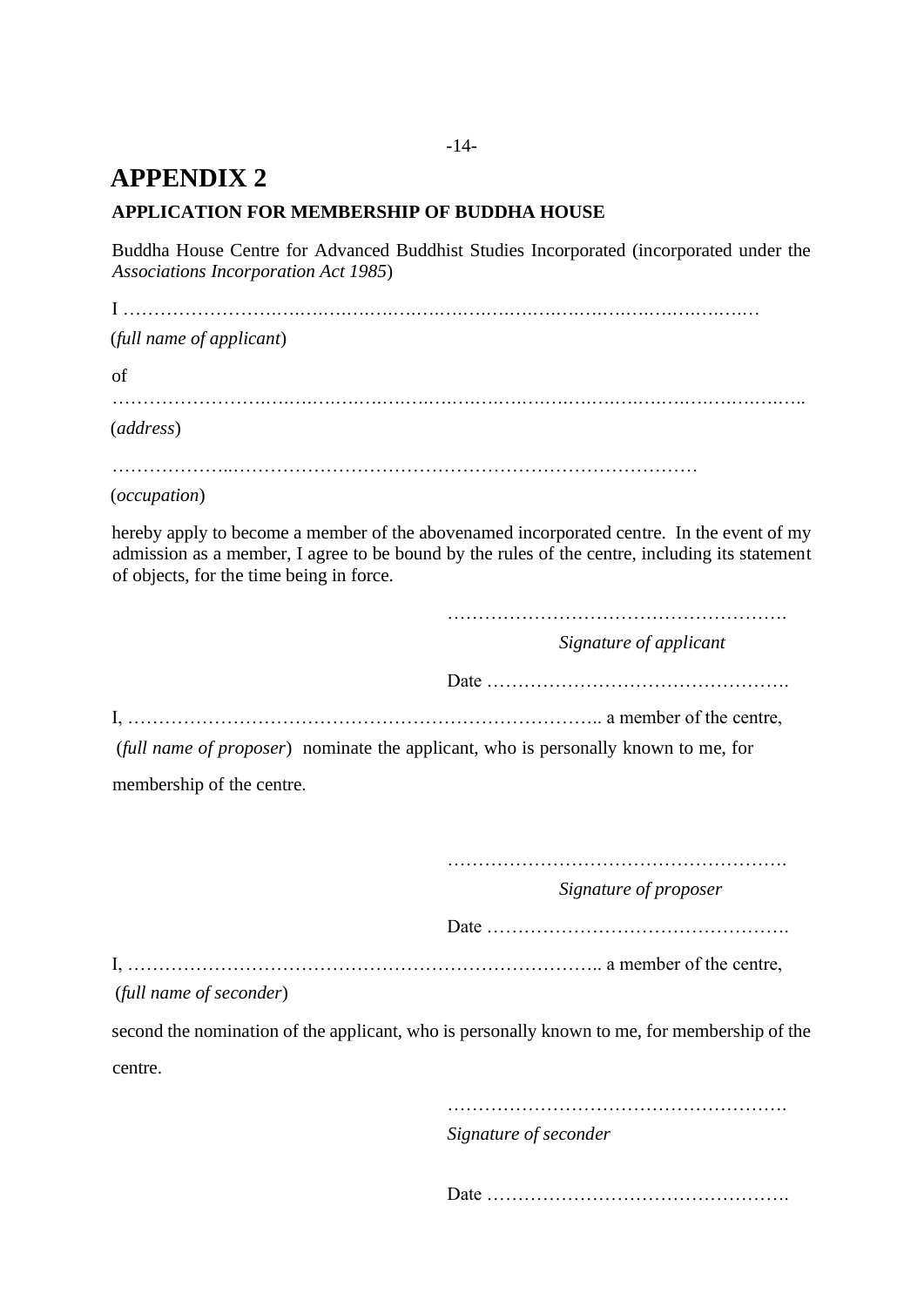# **APPENDIX 2**

# **APPLICATION FOR MEMBERSHIP OF BUDDHA HOUSE**

Buddha House Centre for Advanced Buddhist Studies Incorporated (incorporated under the *Associations Incorporation Act 1985*)

I …………………….….….….….….….….….….….….….….….….….….….….….… (*full name of applicant*) of …………………….….….….….….….….….….….….….….….….….….….….….….….….. (*address*) ………………..………………………………………………………………… (*occupation*) hereby apply to become a member of the abovenamed incorporated centre. In the event of my admission as a member, I agree to be bound by the rules of the centre, including its statement of objects, for the time being in force. ………………………………………………. *Signature of applicant* Date …………………………………………. I, ………………………………………………………………….. a member of the centre, (*full name of proposer*) nominate the applicant, who is personally known to me, for membership of the centre. ………………………………………………. *Signature of proposer* Date …………………………………………. I, ………………………………………………………………….. a member of the centre, (*full name of seconder*) second the nomination of the applicant, who is personally known to me, for membership of the centre. ………………………………………………. *Signature of seconder* Date ………………………………………….

-14-